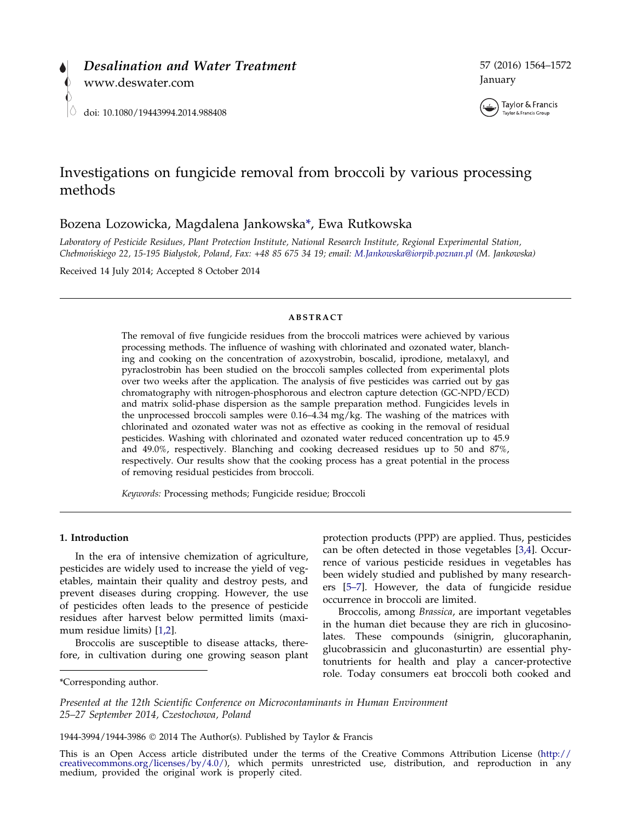



# Investigations on fungicide removal from broccoli by various processing methods

Bozena Lozowicka, Magdalena Jankowska\*, Ewa Rutkowska

Laboratory of Pesticide Residues, Plant Protection Institute, National Research Institute, Regional Experimental Station, Chełmon´skiego 22, 15-195 Bialystok, Poland, Fax: +48 85 675 34 19; email: [M.Jankowska@iorpib.poznan.pl](mailto:M.Jankowska@iorpib.poznan.pl) (M. Jankowska)

Received 14 July 2014; Accepted 8 October 2014

#### ABSTRACT

The removal of five fungicide residues from the broccoli matrices were achieved by various processing methods. The influence of washing with chlorinated and ozonated water, blanching and cooking on the concentration of azoxystrobin, boscalid, iprodione, metalaxyl, and pyraclostrobin has been studied on the broccoli samples collected from experimental plots over two weeks after the application. The analysis of five pesticides was carried out by gas chromatography with nitrogen-phosphorous and electron capture detection (GC-NPD/ECD) and matrix solid-phase dispersion as the sample preparation method. Fungicides levels in the unprocessed broccoli samples were 0.16–4.34 mg/kg. The washing of the matrices with chlorinated and ozonated water was not as effective as cooking in the removal of residual pesticides. Washing with chlorinated and ozonated water reduced concentration up to 45.9 and 49.0%, respectively. Blanching and cooking decreased residues up to 50 and 87%, respectively. Our results show that the cooking process has a great potential in the process of removing residual pesticides from broccoli.

Keywords: Processing methods; Fungicide residue; Broccoli

# 1. Introduction

In the era of intensive chemization of agriculture, pesticides are widely used to increase the yield of vegetables, maintain their quality and destroy pests, and prevent diseases during cropping. However, the use of pesticides often leads to the presence of pesticide residues after harvest below permitted limits (maximum residue limits) [[1,2](#page-7-0)].

Broccolis are susceptible to disease attacks, therefore, in cultivation during one growing season plant

protection products (PPP) are applied. Thus, pesticides can be often detected in those vegetables [\[3,4](#page-7-0)]. Occurrence of various pesticide residues in vegetables has been widely studied and published by many researchers [[5–7](#page-7-0)]. However, the data of fungicide residue occurrence in broccoli are limited.

Broccolis, among Brassica, are important vegetables in the human diet because they are rich in glucosinolates. These compounds (sinigrin, glucoraphanin, glucobrassicin and gluconasturtin) are essential phytonutrients for health and play a cancer-protective The role. Today consumers eat broccoli both cooked and \*Corresponding author.

Presented at the 12th Scientific Conference on Microcontaminants in Human Environment 25–27 September 2014, Czestochowa, Poland

1944-3994/1944-3986 2014 The Author(s). Published by Taylor & Francis

This is an Open Access article distributed under the terms of the Creative Commons Attribution License [\(http://](http://creativecommons.org/licenses/by/4.0/) [creativecommons.org/licenses/by/4.0/\)](http://creativecommons.org/licenses/by/4.0/), which permits unrestricted use, distribution, and reproduction in any m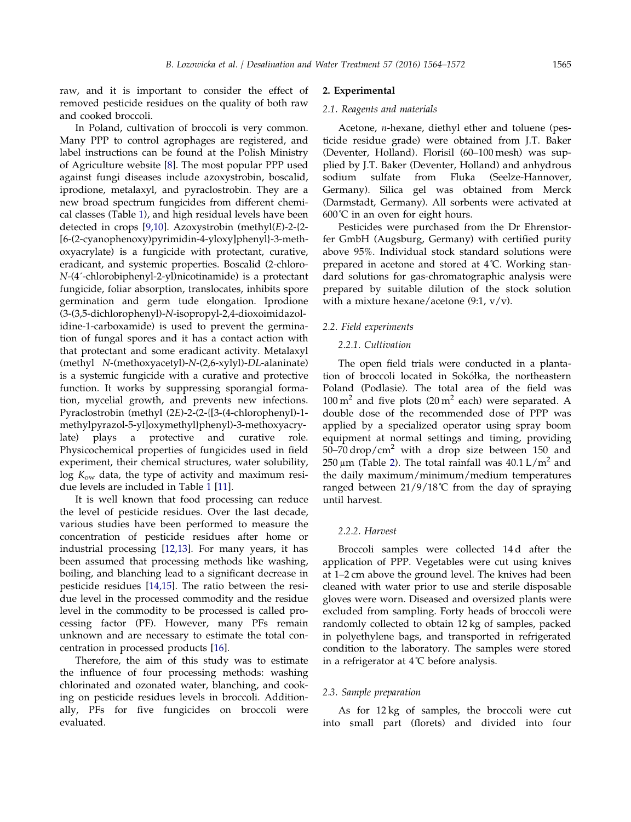raw, and it is important to consider the effect of removed pesticide residues on the quality of both raw and cooked broccoli.

In Poland, cultivation of broccoli is very common. Many PPP to control agrophages are registered, and label instructions can be found at the Polish Ministry of Agriculture website [[8\]](#page-7-0). The most popular PPP used against fungi diseases include azoxystrobin, boscalid, iprodione, metalaxyl, and pyraclostrobin. They are a new broad spectrum fungicides from different chemical classes (Table [1](#page-2-0)), and high residual levels have been detected in crops [[9,10\]](#page-7-0). Azoxystrobin (methyl(E)-2-{2- [6-(2-cyanophenoxy)pyrimidin-4-yloxy]phenyl}-3-methoxyacrylate) is a fungicide with protectant, curative, eradicant, and systemic properties. Boscalid (2-chloro-N-(4´-chlorobiphenyl-2-yl)nicotinamide) is a protectant fungicide, foliar absorption, translocates, inhibits spore germination and germ tude elongation. Iprodione (3-(3,5-dichlorophenyl)-N-isopropyl-2,4-dioxoimidazolidine-1-carboxamide) is used to prevent the germination of fungal spores and it has a contact action with that protectant and some eradicant activity. Metalaxyl (methyl N-(methoxyacetyl)-N-(2,6-xylyl)-DL-alaninate) is a systemic fungicide with a curative and protective function. It works by suppressing sporangial formation, mycelial growth, and prevents new infections. Pyraclostrobin (methyl (2E)-2-(2-{[3-(4-chlorophenyl)-1 methylpyrazol-5-yl]oxymethyl}phenyl)-3-methoxyacrylate) plays a protective and curative role. Physicochemical properties of fungicides used in field experiment, their chemical structures, water solubility,  $\log K_{\rm ow}$  data, the type of activity and maximum residue levels are included in Table [1](#page-2-0) [\[11](#page-7-0)].

It is well known that food processing can reduce the level of pesticide residues. Over the last decade, various studies have been performed to measure the concentration of pesticide residues after home or industrial processing [\[12,13](#page-7-0)]. For many years, it has been assumed that processing methods like washing, boiling, and blanching lead to a significant decrease in pesticide residues [\[14,15\]](#page-8-0). The ratio between the residue level in the processed commodity and the residue level in the commodity to be processed is called processing factor (PF). However, many PFs remain unknown and are necessary to estimate the total concentration in processed products [[16](#page-8-0)].

Therefore, the aim of this study was to estimate the influence of four processing methods: washing chlorinated and ozonated water, blanching, and cooking on pesticide residues levels in broccoli. Additionally, PFs for five fungicides on broccoli were evaluated.

## 2. Experimental

## 2.1. Reagents and materials

Acetone, n-hexane, diethyl ether and toluene (pesticide residue grade) were obtained from J.T. Baker (Deventer, Holland). Florisil (60–100 mesh) was supplied by J.T. Baker (Deventer, Holland) and anhydrous sodium sulfate from Fluka (Seelze-Hannover, Germany). Silica gel was obtained from Merck (Darmstadt, Germany). All sorbents were activated at  $600^{\circ}$ C in an oven for eight hours.

Pesticides were purchased from the Dr Ehrenstorfer GmbH (Augsburg, Germany) with certified purity above 95%. Individual stock standard solutions were prepared in acetone and stored at 4˚C. Working standard solutions for gas-chromatographic analysis were prepared by suitable dilution of the stock solution with a mixture hexane/acetone  $(9:1, v/v)$ .

## 2.2. Field experiments

#### 2.2.1. Cultivation

The open field trials were conducted in a plantation of broccoli located in Sokółka, the northeastern Poland (Podlasie). The total area of the field was  $100 \text{ m}^2$  and five plots  $(20 \text{ m}^2 \text{ each})$  were separated. A double dose of the recommended dose of PPP was applied by a specialized operator using spray boom equipment at normal settings and timing, providing  $50-70$  drop/cm<sup>2</sup> with a drop size between 150 and  $250 \,\mu m$  $250 \,\mu m$  (Table 2). The total rainfall was  $40.1 \mathrm{L/m^2}$  and the daily maximum/minimum/medium temperatures ranged between  $21/9/18^{\circ}C$  from the day of spraying until harvest.

## 2.2.2. Harvest

Broccoli samples were collected 14 d after the application of PPP. Vegetables were cut using knives at 1–2 cm above the ground level. The knives had been cleaned with water prior to use and sterile disposable gloves were worn. Diseased and oversized plants were excluded from sampling. Forty heads of broccoli were randomly collected to obtain 12 kg of samples, packed in polyethylene bags, and transported in refrigerated condition to the laboratory. The samples were stored in a refrigerator at 4˚C before analysis.

### 2.3. Sample preparation

As for 12 kg of samples, the broccoli were cut into small part (florets) and divided into four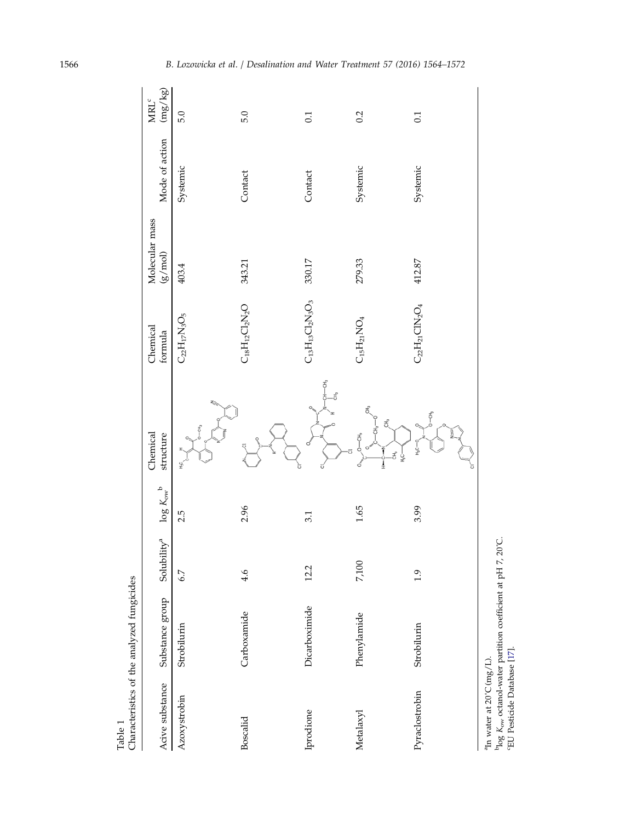<span id="page-2-0"></span>

| Table 1                                                                  | Characteristics of the analyzed fungicides                                     |                         |                     |                            |                                                            |                           |                |                                                |
|--------------------------------------------------------------------------|--------------------------------------------------------------------------------|-------------------------|---------------------|----------------------------|------------------------------------------------------------|---------------------------|----------------|------------------------------------------------|
| Acive substance                                                          | Substance group                                                                | Solubility <sup>a</sup> | $\log K_{\rm ow}$ b | Chemical<br>structure      | Chemical<br>formula                                        | Molecular mass<br>(g/mol) | Mode of action | $\langle mg/kg\rangle$<br>$\mbox{MRL}^{\rm c}$ |
| Azoxystrobin                                                             | Strobilurin                                                                    | 6.7                     | 2.5                 | $-CH3$<br>¥,               | $\mathrm{C}_{22}\mathrm{H}_1$ $\mathrm{N}_3\mathrm{O}_5$   | 403.4                     | Systemic       | 5.0                                            |
| Boscalid                                                                 | Carboxamide                                                                    | 4.6                     | 2.96                |                            | $\mathrm{C_{18}H_{12}Cl_2N_2O}$                            | 343.21                    | Contact        | 5.0                                            |
| Iprodione                                                                | Dicarboximide                                                                  | 12.2                    | 3.1                 | $C_{H}$<br>Ξ,              | $\mathrm{C_{13}H_{13}Cl_2N_3O_3}$                          | 330.17                    | Contact        | 0.1                                            |
| Metalaxyl                                                                | Phenylamide                                                                    | 7,100                   | 1.65                | £<br>ぎ<br>ざ<br>£<br>ن<br>£ | $\mathrm{C}_{15}\mathrm{H}_{21}\mathrm{NO}_{4}$            | 279.33                    | Systemic       | 0.2                                            |
| Pyradostrobin                                                            | Strobilurin                                                                    | $\ddot{0}$              | 3.99                | Ę<br>$\frac{1}{2}$         | $\mathrm{C}_{22}\mathrm{H}_{21}\mathrm{CIN}_2\mathrm{O}_4$ | 412.87                    | Systemic       | 0.1                                            |
| 'EU Pesticide Database [17].<br>${}^{\text{a}}$ In water at 20°C (mg/L). | $^{\rm b}$ log $K_{\rm ow}$ octanol-water partition coefficient at pH 7, 20°C. |                         |                     |                            |                                                            |                           |                |                                                |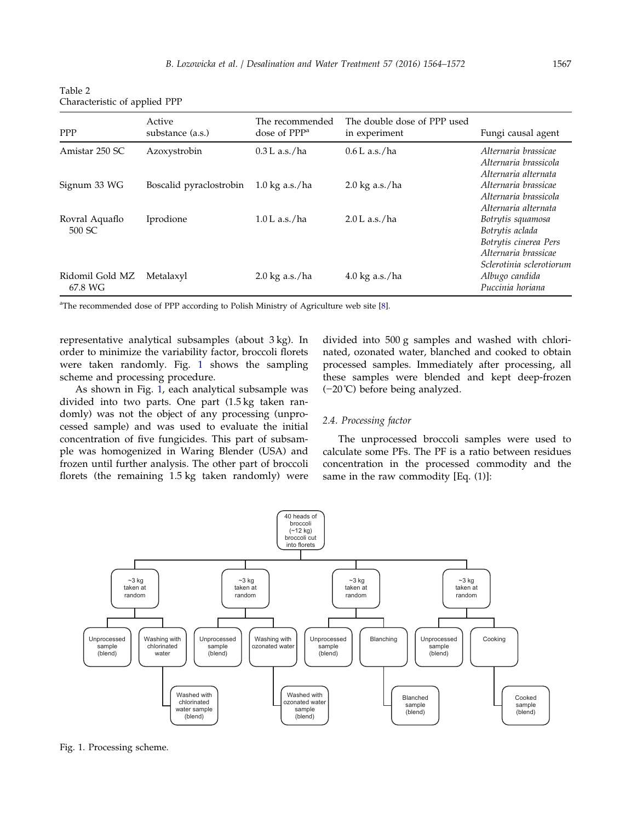| PPP                        | Active<br>substance (a.s.) | The recommended<br>dose of PPP <sup>a</sup> | The double dose of PPP used<br>in experiment | Fungi causal agent                                                                                                |
|----------------------------|----------------------------|---------------------------------------------|----------------------------------------------|-------------------------------------------------------------------------------------------------------------------|
| Amistar 250 SC             | Azoxystrobin               | $0.3 L$ a.s./ha                             | $0.6 L$ a.s./ha                              | Alternaria brassicae<br>Alternaria brassicola<br>Alternaria alternata                                             |
| Signum 33 WG               | Boscalid pyraclostrobin    | $1.0 \text{ kg a.s.}/\text{ha}$             | $2.0 \text{ kg}$ a.s./ha                     | Alternaria brassicae<br>Alternaria brassicola<br>Alternaria alternata                                             |
| Rovral Aquaflo<br>500 SC   | Iprodione                  | $1.0 L$ a.s./ha                             | $2.0 L$ a.s./ha                              | Botrytis squamosa<br>Botrytis aclada<br>Botrytis cinerea Pers<br>Alternaria brassicae<br>Sclerotinia sclerotiorum |
| Ridomil Gold MZ<br>67.8 WG | Metalaxyl                  | $2.0 \text{ kg}$ a.s./ha                    | $4.0 \text{ kg}$ a.s./ha                     | Albugo candida<br>Puccinia horiana                                                                                |

<span id="page-3-0"></span>Table 2 Characteristic of applied PPP

<sup>a</sup>The recommended dose of PPP according to Polish Ministry of Agriculture web site [[8](#page-7-0)].

representative analytical subsamples (about 3 kg). In order to minimize the variability factor, broccoli florets were taken randomly. Fig. 1 shows the sampling scheme and processing procedure.

As shown in Fig. 1, each analytical subsample was divided into two parts. One part (1.5 kg taken randomly) was not the object of any processing (unprocessed sample) and was used to evaluate the initial concentration of five fungicides. This part of subsample was homogenized in Waring Blender (USA) and frozen until further analysis. The other part of broccoli florets (the remaining 1.5 kg taken randomly) were divided into 500 g samples and washed with chlorinated, ozonated water, blanched and cooked to obtain processed samples. Immediately after processing, all these samples were blended and kept deep-frozen (−20˚C) before being analyzed.

# 2.4. Processing factor

The unprocessed broccoli samples were used to calculate some PFs. The PF is a ratio between residues concentration in the processed commodity and the same in the raw commodity [Eq. (1)]:



Fig. 1. Processing scheme.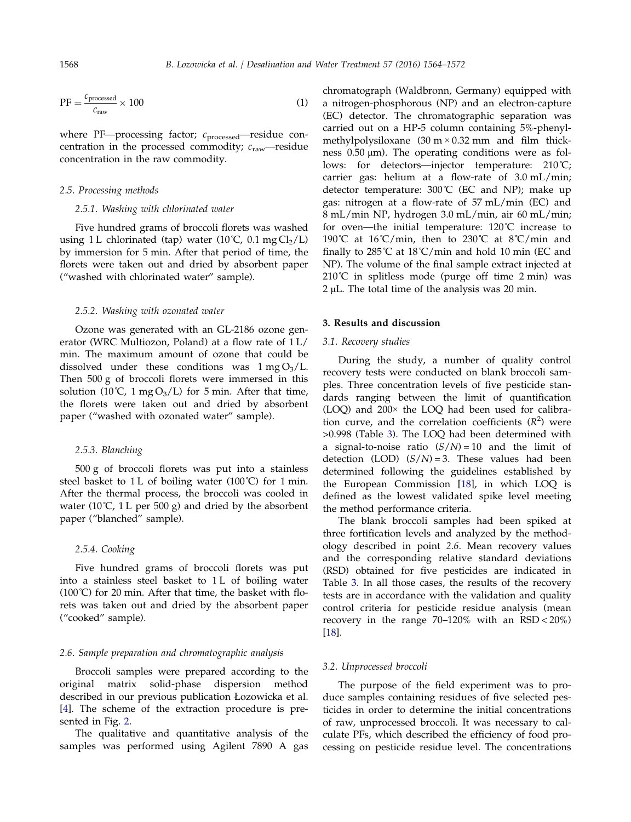$$
PF = \frac{c_{\text{processed}}}{c_{\text{raw}}} \times 100 \tag{1}
$$

where PF—processing factor;  $c_{\text{processed}}$ —residue concentration in the processed commodity;  $c_{\text{raw}}$ —residue concentration in the raw commodity.

#### 2.5. Processing methods

# 2.5.1. Washing with chlorinated water

Five hundred grams of broccoli florets was washed using 1 L chlorinated (tap) water (10<sup>°</sup>C, 0.1 mg Cl<sub>2</sub>/L) by immersion for 5 min. After that period of time, the florets were taken out and dried by absorbent paper ("washed with chlorinated water" sample).

#### 2.5.2. Washing with ozonated water

Ozone was generated with an GL-2186 ozone generator (WRC Multiozon, Poland) at a flow rate of 1 L/ min. The maximum amount of ozone that could be dissolved under these conditions was  $1 \text{ mgO}_3/L$ . Then 500 g of broccoli florets were immersed in this solution (10<sup>°</sup>C, 1 mg O<sub>3</sub>/L) for 5 min. After that time, the florets were taken out and dried by absorbent paper ("washed with ozonated water" sample).

#### 2.5.3. Blanching

500 g of broccoli florets was put into a stainless steel basket to  $1 L$  of boiling water (100 $^{\circ}$ C) for 1 min. After the thermal process, the broccoli was cooled in water (10<sup>°</sup>C, 1 L per 500 g) and dried by the absorbent paper ("blanched" sample).

#### 2.5.4. Cooking

Five hundred grams of broccoli florets was put into a stainless steel basket to 1 L of boiling water (100 $^{\circ}$ C) for 20 min. After that time, the basket with florets was taken out and dried by the absorbent paper ("cooked" sample).

#### 2.6. Sample preparation and chromatographic analysis

Broccoli samples were prepared according to the original matrix solid-phase dispersion method described in our previous publication Łozowicka et al. [[4\]](#page-7-0). The scheme of the extraction procedure is presented in Fig. [2.](#page-5-0)

The qualitative and quantitative analysis of the samples was performed using Agilent 7890 A gas chromatograph (Waldbronn, Germany) equipped with a nitrogen-phosphorous (NP) and an electron-capture (EC) detector. The chromatographic separation was carried out on a HP-5 column containing 5%-phenylmethylpolysiloxane  $(30 \text{ m} \times 0.32 \text{ mm}$  and film thickness 0.50 μm). The operating conditions were as follows: for detectors—injector temperature: 210˚C; carrier gas: helium at a flow-rate of 3.0 mL/min; detector temperature: 300˚C (EC and NP); make up gas: nitrogen at a flow-rate of 57 mL/min (EC) and 8 mL/min NP, hydrogen 3.0 mL/min, air 60 mL/min; for oven—the initial temperature: 120˚C increase to 190°C at 16°C/min, then to 230°C at 8°C/min and finally to 285˚C at 18˚C/min and hold 10 min (EC and NP). The volume of the final sample extract injected at  $210^{\circ}$ C in splitless mode (purge off time 2 min) was 2 μL. The total time of the analysis was 20 min.

#### 3. Results and discussion

#### 3.1. Recovery studies

During the study, a number of quality control recovery tests were conducted on blank broccoli samples. Three concentration levels of five pesticide standards ranging between the limit of quantification (LOQ) and 200× the LOQ had been used for calibration curve, and the correlation coefficients  $(R^2)$  were >0.998 (Table [3](#page-5-0)). The LOQ had been determined with a signal-to-noise ratio  $(S/N) = 10$  and the limit of detection (LOD)  $(S/N) = 3$ . These values had been determined following the guidelines established by the European Commission [\[18](#page-8-0)], in which LOQ is defined as the lowest validated spike level meeting the method performance criteria.

The blank broccoli samples had been spiked at three fortification levels and analyzed by the methodology described in point 2.6. Mean recovery values and the corresponding relative standard deviations (RSD) obtained for five pesticides are indicated in Table [3](#page-5-0). In all those cases, the results of the recovery tests are in accordance with the validation and quality control criteria for pesticide residue analysis (mean recovery in the range 70–120% with an RSD < 20%) [\[18\]](#page-8-0).

#### 3.2. Unprocessed broccoli

The purpose of the field experiment was to produce samples containing residues of five selected pesticides in order to determine the initial concentrations of raw, unprocessed broccoli. It was necessary to calculate PFs, which described the efficiency of food processing on pesticide residue level. The concentrations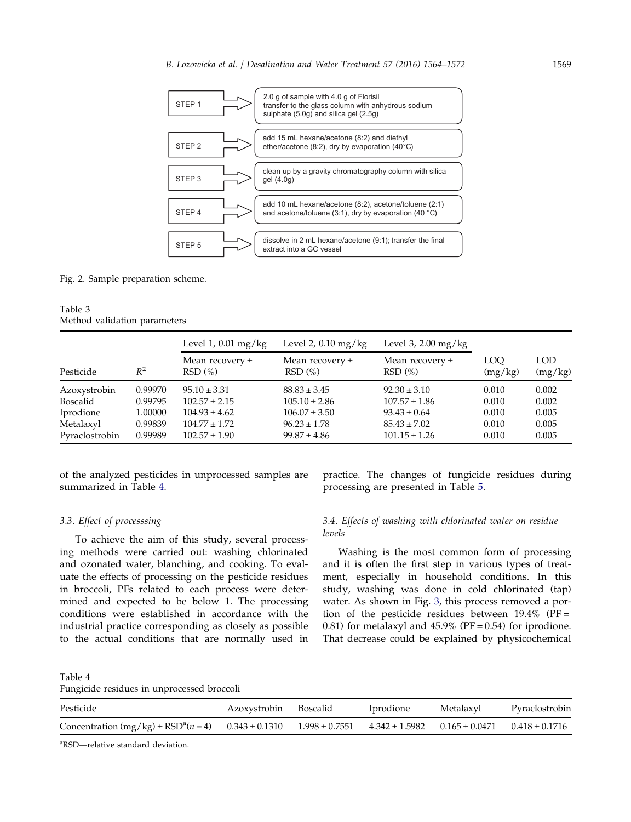<span id="page-5-0"></span>

Fig. 2. Sample preparation scheme.

| Table 3 |                              |
|---------|------------------------------|
|         | Method validation parameters |

|                |         | Level $1, 0.01$ mg/kg            | Level 2, $0.10$ mg/kg            | Level 3, $2.00 \text{ mg/kg}$    |                |                       |
|----------------|---------|----------------------------------|----------------------------------|----------------------------------|----------------|-----------------------|
| Pesticide      | $R^2$   | Mean recovery $\pm$<br>$RSD(\%)$ | Mean recovery $\pm$<br>$RSD(\%)$ | Mean recovery $\pm$<br>$RSD(\%)$ | LOO<br>(mg/kg) | <b>LOD</b><br>(mg/kg) |
| Azoxystrobin   | 0.99970 | $95.10 \pm 3.31$                 | $88.83 \pm 3.45$                 | $92.30 \pm 3.10$                 | 0.010          | 0.002                 |
| Boscalid       | 0.99795 | $102.57 \pm 2.15$                | $105.10 \pm 2.86$                | $107.57 \pm 1.86$                | 0.010          | 0.002                 |
| Iprodione      | 1.00000 | $104.93 \pm 4.62$                | $106.07 \pm 3.50$                | $93.43 \pm 0.64$                 | 0.010          | 0.005                 |
| Metalaxyl      | 0.99839 | $104.77 \pm 1.72$                | $96.23 \pm 1.78$                 | $85.43 \pm 7.02$                 | 0.010          | 0.005                 |
| Pyraclostrobin | 0.99989 | $102.57 \pm 1.90$                | $99.87 \pm 4.86$                 | $101.15 \pm 1.26$                | 0.010          | 0.005                 |

of the analyzed pesticides in unprocessed samples are summarized in Table 4.

practice. The changes of fungicide residues during processing are presented in Table [5.](#page-6-0)

# 3.3. Effect of processsing

To achieve the aim of this study, several processing methods were carried out: washing chlorinated and ozonated water, blanching, and cooking. To evaluate the effects of processing on the pesticide residues in broccoli, PFs related to each process were determined and expected to be below 1. The processing conditions were established in accordance with the industrial practice corresponding as closely as possible to the actual conditions that are normally used in

# 3.4. Effects of washing with chlorinated water on residue levels

Washing is the most common form of processing and it is often the first step in various types of treatment, especially in household conditions. In this study, washing was done in cold chlorinated (tap) water. As shown in Fig. [3](#page-6-0), this process removed a portion of the pesticide residues between  $19.4\%$  (PF = 0.81) for metalaxyl and  $45.9\%$  (PF = 0.54) for iprodione. That decrease could be explained by physicochemical

Table 4

Fungicide residues in unprocessed broccoli

| Pesticide                                                                                                                             | Azoxystrobin Boscalid | Iprodione | Metalaxyl | Pyraclostrobin |
|---------------------------------------------------------------------------------------------------------------------------------------|-----------------------|-----------|-----------|----------------|
| Concentration $(mg/kg) \pm RSD^a(n=4)$ $0.343 \pm 0.1310$ $1.998 \pm 0.7551$ $4.342 \pm 1.5982$ $0.165 \pm 0.0471$ $0.418 \pm 0.1716$ |                       |           |           |                |
|                                                                                                                                       |                       |           |           |                |

a RSD—relative standard deviation.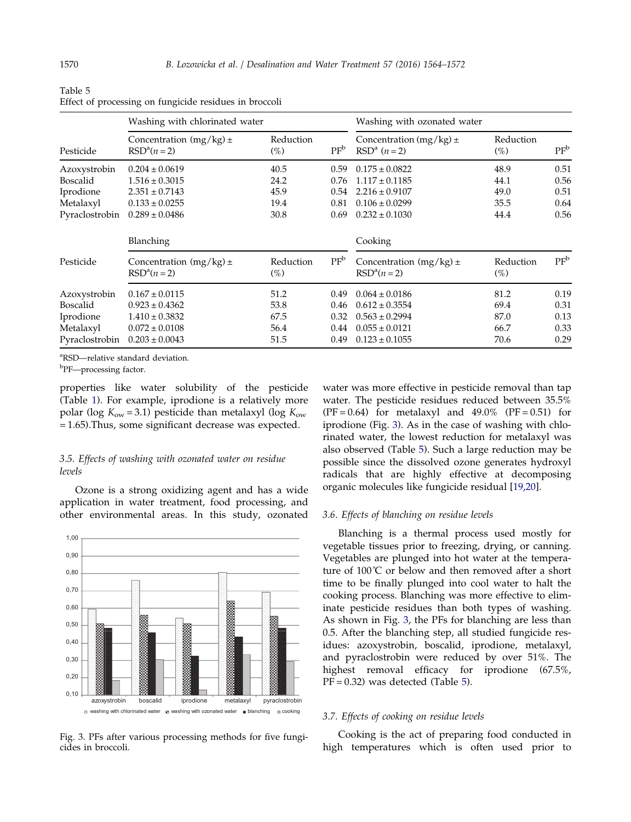|                                                                             | Washing with chlorinated water                                                                             |                                      |                                      | Washing with ozonated water                                                                                |                                      |                                      |
|-----------------------------------------------------------------------------|------------------------------------------------------------------------------------------------------------|--------------------------------------|--------------------------------------|------------------------------------------------------------------------------------------------------------|--------------------------------------|--------------------------------------|
| Pesticide                                                                   | Concentration $(mg/kg) \pm$<br>$RSDa(n = 2)$                                                               | Reduction<br>$(\%)$                  | $PF^b$                               | Concentration $(mg/kg) \pm$<br>$RSDa$ ( <i>n</i> = 2)                                                      | Reduction<br>$(\%)$                  | $PF^b$                               |
| Azoxystrobin<br>Boscalid<br>Iprodione<br>Metalaxyl<br>Pyraclostrobin        | $0.204 \pm 0.0619$<br>$1.516 \pm 0.3015$<br>$2.351 \pm 0.7143$<br>$0.133 \pm 0.0255$<br>$0.289 \pm 0.0486$ | 40.5<br>24.2<br>45.9<br>19.4<br>30.8 | 0.59<br>0.76<br>0.54<br>0.81<br>0.69 | $0.175 \pm 0.0822$<br>$1.117 \pm 0.1185$<br>$2.216 \pm 0.9107$<br>$0.106 \pm 0.0299$<br>$0.232 \pm 0.1030$ | 48.9<br>44.1<br>49.0<br>35.5<br>44.4 | 0.51<br>0.56<br>0.51<br>0.64<br>0.56 |
|                                                                             | Blanching                                                                                                  |                                      |                                      | Cooking                                                                                                    |                                      |                                      |
| Pesticide                                                                   | Concentration $(mg/kg) \pm$<br>$RSDa(n = 2)$                                                               | Reduction<br>$(\%)$                  | $PF^b$                               | Concentration $(mg/kg) \pm$<br>$RSDa(n = 2)$                                                               | Reduction<br>$(\%)$                  | $PF^b$                               |
| Azoxystrobin<br><b>Boscalid</b><br>Iprodione<br>Metalaxyl<br>Pyraclostrobin | $0.167 \pm 0.0115$<br>$0.923 \pm 0.4362$<br>$1.410 \pm 0.3832$<br>$0.072 \pm 0.0108$<br>$0.203 \pm 0.0043$ | 51.2<br>53.8<br>67.5<br>56.4<br>51.5 | 0.49<br>0.46<br>0.32<br>0.44<br>0.49 | $0.064 \pm 0.0186$<br>$0.612 \pm 0.3554$<br>$0.563 \pm 0.2994$<br>$0.055 \pm 0.0121$<br>$0.123 \pm 0.1055$ | 81.2<br>69.4<br>87.0<br>66.7<br>70.6 | 0.19<br>0.31<br>0.13<br>0.33<br>0.29 |

<span id="page-6-0"></span>Table 5 Effect of processing on fungicide residues in broccoli

<sup>a</sup>RSD—relative standard deviation.

<sup>b</sup>PF—processing factor.

properties like water solubility of the pesticide (Table [1\)](#page-2-0). For example, iprodione is a relatively more polar (log  $K_{\text{ow}} = 3.1$ ) pesticide than metalaxyl (log  $K_{\text{ow}}$ ) = 1.65).Thus, some significant decrease was expected.

# 3.5. Effects of washing with ozonated water on residue levels

Ozone is a strong oxidizing agent and has a wide application in water treatment, food processing, and other environmental areas. In this study, ozonated



Fig. 3. PFs after various processing methods for five fungicides in broccoli.

water was more effective in pesticide removal than tap water. The pesticide residues reduced between 35.5%  $(PF = 0.64)$  for metalaxyl and 49.0%  $(PF = 0.51)$  for iprodione (Fig. 3). As in the case of washing with chlorinated water, the lowest reduction for metalaxyl was also observed (Table 5). Such a large reduction may be possible since the dissolved ozone generates hydroxyl radicals that are highly effective at decomposing organic molecules like fungicide residual [[19,20\]](#page-8-0).

# 3.6. Effects of blanching on residue levels

Blanching is a thermal process used mostly for vegetable tissues prior to freezing, drying, or canning. Vegetables are plunged into hot water at the temperature of 100˚C or below and then removed after a short time to be finally plunged into cool water to halt the cooking process. Blanching was more effective to eliminate pesticide residues than both types of washing. As shown in Fig. 3, the PFs for blanching are less than 0.5. After the blanching step, all studied fungicide residues: azoxystrobin, boscalid, iprodione, metalaxyl, and pyraclostrobin were reduced by over 51%. The highest removal efficacy for iprodione (67.5%,  $PF = 0.32$ ) was detected (Table 5).

# 3.7. Effects of cooking on residue levels

Cooking is the act of preparing food conducted in high temperatures which is often used prior to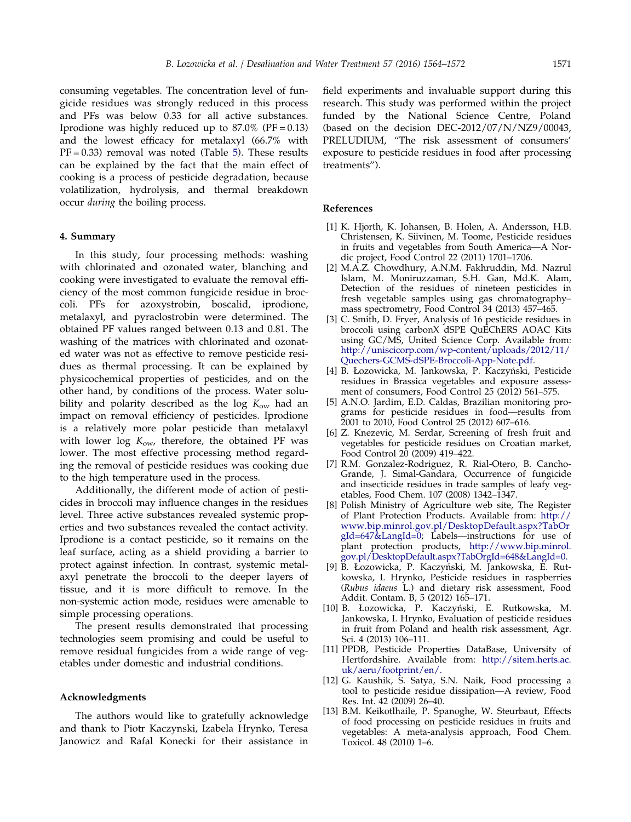<span id="page-7-0"></span>consuming vegetables. The concentration level of fungicide residues was strongly reduced in this process and PFs was below 0.33 for all active substances. Iprodione was highly reduced up to  $87.0\%$  (PF = 0.13) and the lowest efficacy for metalaxyl (66.7% with  $PF = 0.33$ ) removal was noted (Table [5\)](#page-6-0). These results can be explained by the fact that the main effect of cooking is a process of pesticide degradation, because volatilization, hydrolysis, and thermal breakdown occur during the boiling process.

#### 4. Summary

In this study, four processing methods: washing with chlorinated and ozonated water, blanching and cooking were investigated to evaluate the removal efficiency of the most common fungicide residue in broccoli. PFs for azoxystrobin, boscalid, iprodione, metalaxyl, and pyraclostrobin were determined. The obtained PF values ranged between 0.13 and 0.81. The washing of the matrices with chlorinated and ozonated water was not as effective to remove pesticide residues as thermal processing. It can be explained by physicochemical properties of pesticides, and on the other hand, by conditions of the process. Water solubility and polarity described as the log  $K_{ow}$  had an impact on removal efficiency of pesticides. Iprodione is a relatively more polar pesticide than metalaxyl with lower log  $K_{\text{ow}}$ , therefore, the obtained PF was lower. The most effective processing method regarding the removal of pesticide residues was cooking due to the high temperature used in the process.

Additionally, the different mode of action of pesticides in broccoli may influence changes in the residues level. Three active substances revealed systemic properties and two substances revealed the contact activity. Iprodione is a contact pesticide, so it remains on the leaf surface, acting as a shield providing a barrier to protect against infection. In contrast, systemic metalaxyl penetrate the broccoli to the deeper layers of tissue, and it is more difficult to remove. In the non-systemic action mode, residues were amenable to simple processing operations.

The present results demonstrated that processing technologies seem promising and could be useful to remove residual fungicides from a wide range of vegetables under domestic and industrial conditions.

#### Acknowledgments

The authors would like to gratefully acknowledge and thank to Piotr Kaczynski, Izabela Hrynko, Teresa Janowicz and Rafal Konecki for their assistance in field experiments and invaluable support during this research. This study was performed within the project funded by the National Science Centre, Poland (based on the decision DEC-2012/07/N/NZ9/00043, PRELUDIUM, "The risk assessment of consumers' exposure to pesticide residues in food after processing treatments").

# References

- [1] K. Hjorth, K. Johansen, B. Holen, A. Andersson, H.B. Christensen, K. Siivinen, M. Toome, Pesticide residues in fruits and vegetables from South America—A Nordic project, Food Control 22 (2011) 1701–1706.
- [2] M.A.Z. Chowdhury, A.N.M. Fakhruddin, Md. Nazrul Islam, M. Moniruzzaman, S.H. Gan, Md.K. Alam, Detection of the residues of nineteen pesticides in fresh vegetable samples using gas chromatography– mass spectrometry, Food Control 34 (2013) 457–465.
- [3] C. Smith, D. Fryer, Analysis of 16 pesticide residues in broccoli using carbonX dSPE QuEChERS AOAC Kits using GC/MS, United Science Corp. Available from: [http://uniscicorp.com/wp-content/uploads/2012/11/](http://uniscicorp.com/wp-content/uploads/2012/11/Quechers-GCMS-dSPE-Broccoli-App-Note.pdf) [Quechers-GCMS-dSPE-Broccoli-App-Note.pdf.](http://uniscicorp.com/wp-content/uploads/2012/11/Quechers-GCMS-dSPE-Broccoli-App-Note.pdf)
- [4] B. Łozowicka, M. Jankowska, P. Kaczyński, Pesticide residues in Brassica vegetables and exposure assessment of consumers, Food Control 25 (2012) 561–575.
- [5] A.N.O. Jardim, E.D. Caldas, Brazilian monitoring programs for pesticide residues in food—results from 2001 to 2010, Food Control 25 (2012) 607–616.
- [6] Z. Knezevic, M. Serdar, Screening of fresh fruit and vegetables for pesticide residues on Croatian market, Food Control 20 (2009) 419–422.
- [7] R.M. Gonzalez-Rodriguez, R. Rial-Otero, B. Cancho-Grande, J. Simal-Gandara, Occurrence of fungicide and insecticide residues in trade samples of leafy vegetables, Food Chem. 107 (2008) 1342–1347.
- [8] Polish Ministry of Agriculture web site, The Register of Plant Protection Products. Available from: [http://](http://www.bip.minrol.gov.pl/DesktopDefault.aspx?TabOrgId=647&LangId=0) [www.bip.minrol.gov.pl/DesktopDefault.aspx?TabOr](http://www.bip.minrol.gov.pl/DesktopDefault.aspx?TabOrgId=647&LangId=0) [gId=647&LangId=0](http://www.bip.minrol.gov.pl/DesktopDefault.aspx?TabOrgId=647&LangId=0); Labels—instructions for use of plant protection products, [http://www.bip.minrol.](http://www.bip.minrol.gov.pl/DesktopDefault.aspx?TabOrgId=648&LangId=0.) [gov.pl/DesktopDefault.aspx?TabOrgId=648&LangId=0.](http://www.bip.minrol.gov.pl/DesktopDefault.aspx?TabOrgId=648&LangId=0.)
- [9] B. Łozowicka, P. Kaczyński, M. Jankowska, E. Rutkowska, I. Hrynko, Pesticide residues in raspberries (Rubus idaeus L.) and dietary risk assessment, Food Addit. Contam. B, 5 (2012) 165–171.
- [10] B. Łozowicka, P. Kaczyński, E. Rutkowska, M. Jankowska, I. Hrynko, Evaluation of pesticide residues in fruit from Poland and health risk assessment, Agr. Sci. 4 (2013) 106–111.
- [11] PPDB, Pesticide Properties DataBase, University of Hertfordshire. Available from: [http://sitem.herts.ac.](http://sitem.herts.ac.uk/aeru/footprint/en/.) [uk/aeru/footprint/en/.](http://sitem.herts.ac.uk/aeru/footprint/en/.)
- [12] G. Kaushik, S. Satya, S.N. Naik, Food processing a tool to pesticide residue dissipation—A review, Food Res. Int. 42 (2009) 26–40.
- [13] B.M. Keikotlhaile, P. Spanoghe, W. Steurbaut, Effects of food processing on pesticide residues in fruits and vegetables: A meta-analysis approach, Food Chem. Toxicol. 48 (2010) 1–6.